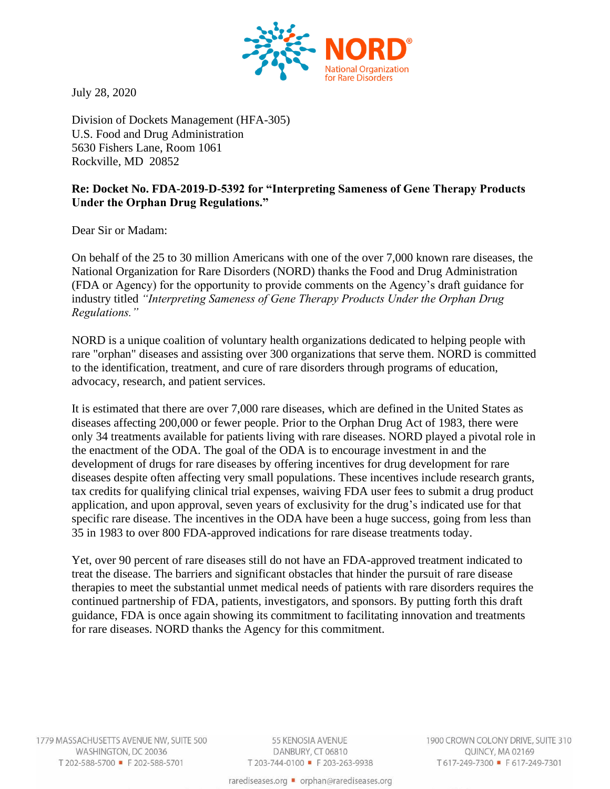

July 28, 2020

Division of Dockets Management (HFA-305) U.S. Food and Drug Administration 5630 Fishers Lane, Room 1061 Rockville, MD 20852

## **Re: Docket No. FDA-2019-D-5392 for "Interpreting Sameness of Gene Therapy Products Under the Orphan Drug Regulations."**

Dear Sir or Madam:

On behalf of the 25 to 30 million Americans with one of the over 7,000 known rare diseases, the National Organization for Rare Disorders (NORD) thanks the Food and Drug Administration (FDA or Agency) for the opportunity to provide comments on the Agency's draft guidance for industry titled *"Interpreting Sameness of Gene Therapy Products Under the Orphan Drug Regulations."*

NORD is a unique coalition of voluntary health organizations dedicated to helping people with rare "orphan" diseases and assisting over 300 organizations that serve them. NORD is committed to the identification, treatment, and cure of rare disorders through programs of education, advocacy, research, and patient services.

It is estimated that there are over 7,000 rare diseases, which are defined in the United States as diseases affecting 200,000 or fewer people. Prior to the Orphan Drug Act of 1983, there were only 34 treatments available for patients living with rare diseases. NORD played a pivotal role in the enactment of the ODA. The goal of the ODA is to encourage investment in and the development of drugs for rare diseases by offering incentives for drug development for rare diseases despite often affecting very small populations. These incentives include research grants, tax credits for qualifying clinical trial expenses, waiving FDA user fees to submit a drug product application, and upon approval, seven years of exclusivity for the drug's indicated use for that specific rare disease. The incentives in the ODA have been a huge success, going from less than 35 in 1983 to over 800 FDA-approved indications for rare disease treatments today.

Yet, over 90 percent of rare diseases still do not have an FDA-approved treatment indicated to treat the disease. The barriers and significant obstacles that hinder the pursuit of rare disease therapies to meet the substantial unmet medical needs of patients with rare disorders requires the continued partnership of FDA, patients, investigators, and sponsors. By putting forth this draft guidance, FDA is once again showing its commitment to facilitating innovation and treatments for rare diseases. NORD thanks the Agency for this commitment.

1779 MASSACHUSETTS AVENUE NW, SUITE 500 WASHINGTON, DC 20036 T 202-588-5700 = F 202-588-5701

55 KENOSIA AVENUE DANBURY, CT 06810 T 203-744-0100 = F 203-263-9938 1900 CROWN COLONY DRIVE, SUITE 310 QUINCY, MA 02169 T617-249-7300 • F617-249-7301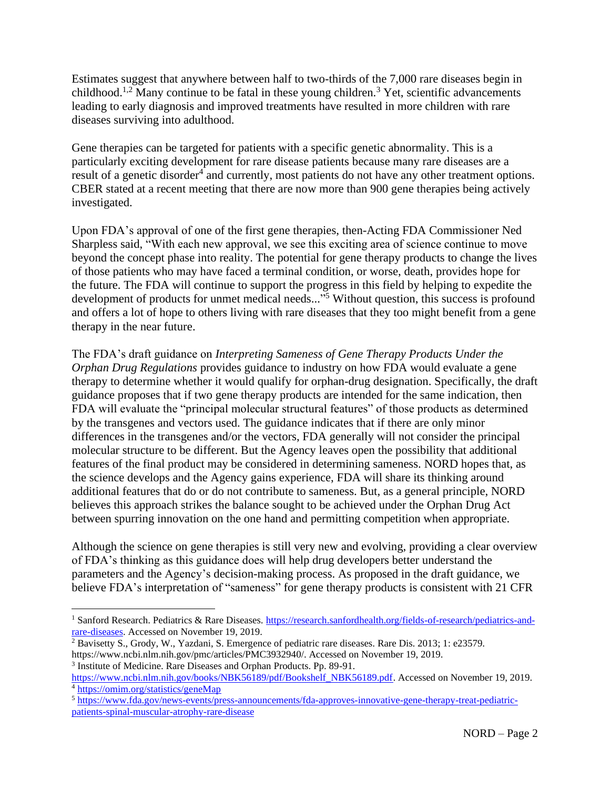Estimates suggest that anywhere between half to two-thirds of the 7,000 rare diseases begin in childhood.<sup>1,2</sup> Many continue to be fatal in these young children.<sup>3</sup> Yet, scientific advancements leading to early diagnosis and improved treatments have resulted in more children with rare diseases surviving into adulthood.

Gene therapies can be targeted for patients with a specific genetic abnormality. This is a particularly exciting development for rare disease patients because many rare diseases are a result of a genetic disorder<sup>4</sup> and currently, most patients do not have any other treatment options. CBER stated at a recent meeting that there are now more than 900 gene therapies being actively investigated.

Upon FDA's approval of one of the first gene therapies, then-Acting FDA Commissioner Ned Sharpless said, "With each new approval, we see this exciting area of science continue to move beyond the concept phase into reality. The potential for gene therapy products to change the lives of those patients who may have faced a terminal condition, or worse, death, provides hope for the future. The FDA will continue to support the progress in this field by helping to expedite the development of products for unmet medical needs..." <sup>5</sup> Without question, this success is profound and offers a lot of hope to others living with rare diseases that they too might benefit from a gene therapy in the near future.

The FDA's draft guidance on *Interpreting Sameness of Gene Therapy Products Under the Orphan Drug Regulations* provides guidance to industry on how FDA would evaluate a gene therapy to determine whether it would qualify for orphan-drug designation. Specifically, the draft guidance proposes that if two gene therapy products are intended for the same indication, then FDA will evaluate the "principal molecular structural features" of those products as determined by the transgenes and vectors used. The guidance indicates that if there are only minor differences in the transgenes and/or the vectors, FDA generally will not consider the principal molecular structure to be different. But the Agency leaves open the possibility that additional features of the final product may be considered in determining sameness. NORD hopes that, as the science develops and the Agency gains experience, FDA will share its thinking around additional features that do or do not contribute to sameness. But, as a general principle, NORD believes this approach strikes the balance sought to be achieved under the Orphan Drug Act between spurring innovation on the one hand and permitting competition when appropriate.

Although the science on gene therapies is still very new and evolving, providing a clear overview of FDA's thinking as this guidance does will help drug developers better understand the parameters and the Agency's decision-making process. As proposed in the draft guidance, we believe FDA's interpretation of "sameness" for gene therapy products is consistent with 21 CFR

<sup>&</sup>lt;sup>1</sup> Sanford Research. Pediatrics & Rare Diseases. [https://research.sanfordhealth.org/fields-of-research/pediatrics-and](https://research.sanfordhealth.org/fields-of-research/pediatrics-and-rare-diseases)[rare-diseases.](https://research.sanfordhealth.org/fields-of-research/pediatrics-and-rare-diseases) Accessed on November 19, 2019.

<sup>2</sup> Bavisetty S., Grody, W., Yazdani, S. Emergence of pediatric rare diseases. Rare Dis. 2013; 1: e23579. https://www.ncbi.nlm.nih.gov/pmc/articles/PMC3932940/. Accessed on November 19, 2019.

<sup>&</sup>lt;sup>3</sup> Institute of Medicine. Rare Diseases and Orphan Products. Pp. 89-91.

[https://www.ncbi.nlm.nih.gov/books/NBK56189/pdf/Bookshelf\\_NBK56189.pdf.](https://www.ncbi.nlm.nih.gov/books/NBK56189/pdf/Bookshelf_NBK56189.pdf) Accessed on November 19, 2019. <sup>4</sup> <https://omim.org/statistics/geneMap>

<sup>5</sup> [https://www.fda.gov/news-events/press-announcements/fda-approves-innovative-gene-therapy-treat-pediatric](https://www.fda.gov/news-events/press-announcements/fda-approves-innovative-gene-therapy-treat-pediatric-patients-spinal-muscular-atrophy-rare-disease)[patients-spinal-muscular-atrophy-rare-disease](https://www.fda.gov/news-events/press-announcements/fda-approves-innovative-gene-therapy-treat-pediatric-patients-spinal-muscular-atrophy-rare-disease)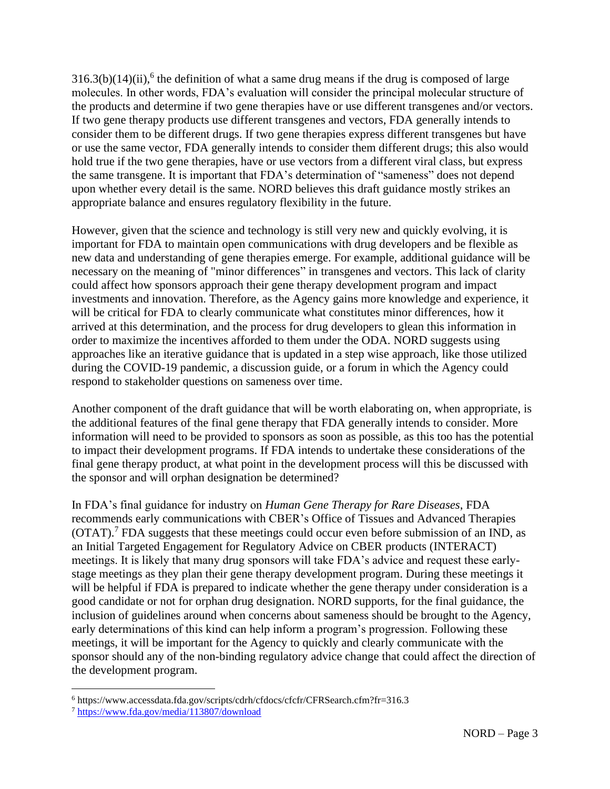$316.3(b)(14)(ii)$ , <sup>6</sup> the definition of what a same drug means if the drug is composed of large molecules. In other words, FDA's evaluation will consider the principal molecular structure of the products and determine if two gene therapies have or use different transgenes and/or vectors. If two gene therapy products use different transgenes and vectors, FDA generally intends to consider them to be different drugs. If two gene therapies express different transgenes but have or use the same vector, FDA generally intends to consider them different drugs; this also would hold true if the two gene therapies, have or use vectors from a different viral class, but express the same transgene. It is important that FDA's determination of "sameness" does not depend upon whether every detail is the same. NORD believes this draft guidance mostly strikes an appropriate balance and ensures regulatory flexibility in the future.

However, given that the science and technology is still very new and quickly evolving, it is important for FDA to maintain open communications with drug developers and be flexible as new data and understanding of gene therapies emerge. For example, additional guidance will be necessary on the meaning of "minor differences" in transgenes and vectors. This lack of clarity could affect how sponsors approach their gene therapy development program and impact investments and innovation. Therefore, as the Agency gains more knowledge and experience, it will be critical for FDA to clearly communicate what constitutes minor differences, how it arrived at this determination, and the process for drug developers to glean this information in order to maximize the incentives afforded to them under the ODA. NORD suggests using approaches like an iterative guidance that is updated in a step wise approach, like those utilized during the COVID-19 pandemic, a discussion guide, or a forum in which the Agency could respond to stakeholder questions on sameness over time.

Another component of the draft guidance that will be worth elaborating on, when appropriate, is the additional features of the final gene therapy that FDA generally intends to consider. More information will need to be provided to sponsors as soon as possible, as this too has the potential to impact their development programs. If FDA intends to undertake these considerations of the final gene therapy product, at what point in the development process will this be discussed with the sponsor and will orphan designation be determined?

In FDA's final guidance for industry on *Human Gene Therapy for Rare Diseases*, FDA recommends early communications with CBER's Office of Tissues and Advanced Therapies (OTAT). <sup>7</sup> FDA suggests that these meetings could occur even before submission of an IND, as an Initial Targeted Engagement for Regulatory Advice on CBER products (INTERACT) meetings. It is likely that many drug sponsors will take FDA's advice and request these earlystage meetings as they plan their gene therapy development program. During these meetings it will be helpful if FDA is prepared to indicate whether the gene therapy under consideration is a good candidate or not for orphan drug designation. NORD supports, for the final guidance, the inclusion of guidelines around when concerns about sameness should be brought to the Agency, early determinations of this kind can help inform a program's progression. Following these meetings, it will be important for the Agency to quickly and clearly communicate with the sponsor should any of the non-binding regulatory advice change that could affect the direction of the development program.

<sup>6</sup> https://www.accessdata.fda.gov/scripts/cdrh/cfdocs/cfcfr/CFRSearch.cfm?fr=316.3

<sup>7</sup> <https://www.fda.gov/media/113807/download>